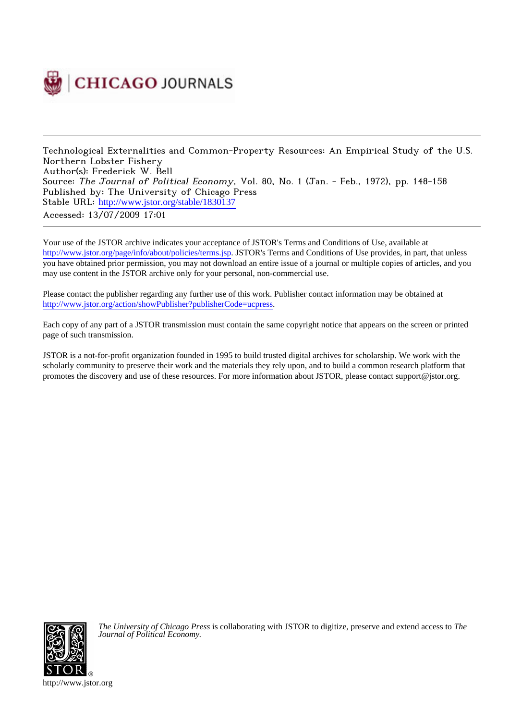

Technological Externalities and Common-Property Resources: An Empirical Study of the U.S. Northern Lobster Fishery Author(s): Frederick W. Bell Source: The Journal of Political Economy, Vol. 80, No. 1 (Jan. - Feb., 1972), pp. 148-158 Published by: The University of Chicago Press Stable URL: [http://www.jstor.org/stable/1830137](http://www.jstor.org/stable/1830137?origin=JSTOR-pdf) Accessed: 13/07/2009 17:01

Your use of the JSTOR archive indicates your acceptance of JSTOR's Terms and Conditions of Use, available at <http://www.jstor.org/page/info/about/policies/terms.jsp>. JSTOR's Terms and Conditions of Use provides, in part, that unless you have obtained prior permission, you may not download an entire issue of a journal or multiple copies of articles, and you may use content in the JSTOR archive only for your personal, non-commercial use.

Please contact the publisher regarding any further use of this work. Publisher contact information may be obtained at [http://www.jstor.org/action/showPublisher?publisherCode=ucpress.](http://www.jstor.org/action/showPublisher?publisherCode=ucpress)

Each copy of any part of a JSTOR transmission must contain the same copyright notice that appears on the screen or printed page of such transmission.

JSTOR is a not-for-profit organization founded in 1995 to build trusted digital archives for scholarship. We work with the scholarly community to preserve their work and the materials they rely upon, and to build a common research platform that promotes the discovery and use of these resources. For more information about JSTOR, please contact support@jstor.org.



*The University of Chicago Press* is collaborating with JSTOR to digitize, preserve and extend access to *The Journal of Political Economy.*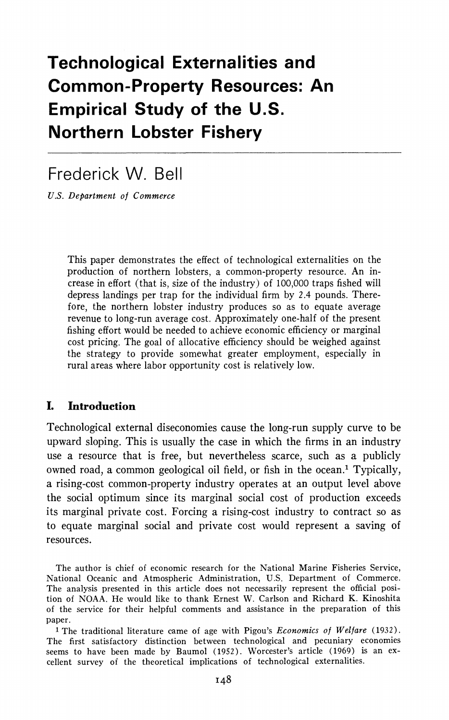# **Technological Externalities and Common-Property Resources: An Empirical Study of the U.S. Northern Lobster Fishery**

**Frederick W. Bell** 

**U.S. Department of Commerce** 

**This paper demonstrates the effect of technological externalities on the production of northern lobsters, a common-property resource. An increase in effort (that is, size of the industry) of 100,000 traps fished will depress landings per trap for the individual firm by 2.4 pounds. Therefore, the northern lobster industry produces so as to equate average revenue to long-run average cost. Approximately one-half of the present fishing effort would be needed to achieve economic efficiency or marginal cost pricing. The goal of allocative efficiency should be weighed against the strategy to provide somewhat greater employment, especially in rural areas where labor opportunity cost is relatively low.** 

## **L. Introduction**

**Technological external diseconomies cause the long-run supply curve to be upward sloping. This is usually the case in which the firms in an industry use a resource that is free, but nevertheless scarce, such as a publicly owned road, a common geological oil field, or fish in the ocean.1 Typically, a rising-cost common-property industry operates at an output level above the social optimum since its marginal social cost of production exceeds its marginal private cost. Forcing a rising-cost industry to contract so as to equate marginal social and private cost would represent a saving of resources.** 

**The author is chief of economic research for the National Marine Fisheries Service, National Oceanic and Atmospheric Administration, U.S. Department of Commerce. The analysis presented in this article does not necessarily represent the official position of NOAA. He would like to thank Ernest W. Carlson and Richard K. Kinoshita of the service for their helpful comments and assistance in the preparation of this paper.** 

**1 The traditional literature came of age with Pigou's Economics of Welfare (1932). The first satisfactory distinction between technological and pecuniary economies seems to have been made by Baumol (1952). Worcester's article (1969) is an excellent survey of the theoretical implications of technological externalities.**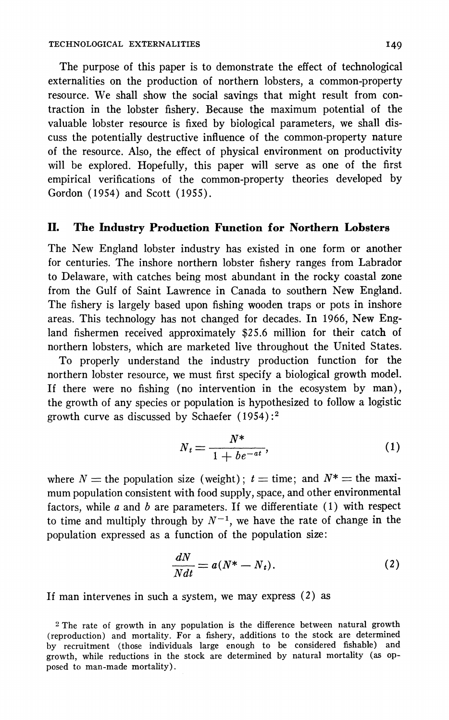**The purpose of this paper is to demonstrate the effect of technological externalities on the production of northern lobsters, a common-property resource. We shall show the social savings that might result from contraction in the lobster fishery. Because the maximum potential of the valuable lobster resource is fixed by biological parameters, we shall discuss the potentially destructive influence of the common-property nature of the resource. Also, the effect of physical environment on productivity will be explored. Hopefully, this paper will serve as one of the first empirical verifications of the common-property theories developed by Gordon (1954) and Scott (1955).** 

#### **II. The Industry Production Function for Northern Lobsters**

**The New England lobster industry has existed in one form or another for centuries. The inshore northern lobster fishery ranges from Labrador to Delaware, with catches being most abundant in the rocky coastal zone from the Gulf of Saint Lawrence in Canada to southern New England. The fishery is largely based upon fishing wooden traps or pots in inshore areas. This technology has not changed for decades. In 1966, New England fishermen received approximately \$25.6 million for their catch of northern lobsters, which are marketed live throughout the United States.** 

**To properly understand the industry production function for the northern lobster resource, we must first specify a biological growth model. If there were no fishing (no intervention in the ecosystem by man), the growth of any species or population is hypothesized to follow a logistic growth curve as discussed by Schaefer (1954) :2** 

$$
N_t = \frac{N^*}{1 + be^{-at}},\tag{1}
$$

where  $N =$  the population size (weight);  $t =$  time; and  $N^* =$  the maxi**mum population consistent with food supply, space, and other environmental**  factors, while  $a$  and  $b$  are parameters. If we differentiate  $(1)$  with respect to time and multiply through by  $N^{-1}$ , we have the rate of change in the **population expressed as a function of the population size:** 

$$
\frac{dN}{Ndt} = a(N^* - N_t). \tag{2}
$$

**If man intervenes in such a system, we may express (2) as** 

**<sup>2</sup>The rate of growth in any population is the difference between natural growth (reproduction) and mortality. For a fishery, additions to the stock are determined by recruitment (those individuals large enough to be considered fishable) and growth, while reductions in the stock are determined by natural mortality (as opposed to man-made mortality).**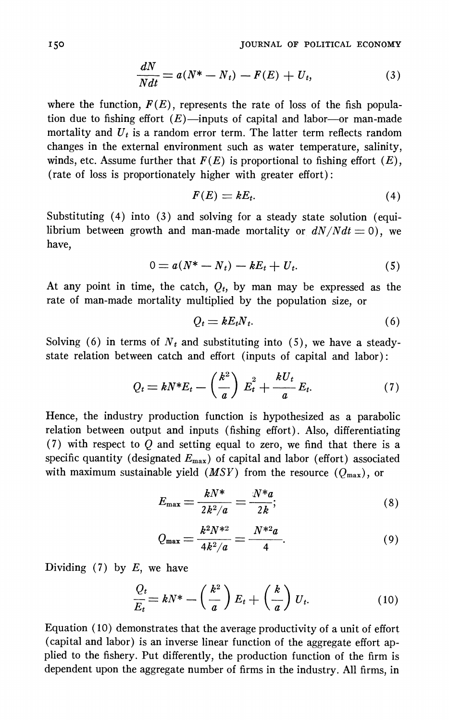$$
\frac{dN}{Ndt} = a(N^* - N_t) - F(E) + U_t, \tag{3}
$$

where the function,  $F(E)$ , represents the rate of loss of the fish population due to fishing effort  $(E)$ —inputs of capital and labor—or man-made mortality and  $U_t$  is a random error term. The latter term reflects random **changes in the external environment such as water temperature, salinity,**  winds, etc. Assume further that  $F(E)$  is proportional to fishing effort  $(E)$ , **(rate of loss is proportionately higher with greater effort):** 

$$
F(E) = kE_t. \tag{4}
$$

**Substituting (4) into (3) and solving for a steady state solution (equi**librium between growth and man-made mortality or  $dN/Ndt = 0$ , we **have,** 

$$
0 = a(N^* - N_t) - kE_t + U_t. \tag{5}
$$

At any point in time, the catch,  $Q_t$ , by man may be expressed as the **rate of man-made mortality multiplied by the population size, or** 

$$
Q_t = k E_t N_t. \tag{6}
$$

Solving (6) in terms of  $N_t$  and substituting into (5), we have a steady**state relation between catch and effort (inputs of capital and labor):** 

$$
Q_t = kN^* E_t - \left(\frac{k^2}{a}\right) E_t^2 + \frac{kU_t}{a} E_t.
$$
 (7)

**Hence, the industry production function is hypothesized as a parabolic relation between output and inputs (fishing effort). Also, differentiating (7) with respect to Q and setting equal to zero, we find that there is a specific quantity (designated Emax) of capital and labor (effort) associated**  with maximum sustainable yield  $(MSY)$  from the resource  $(Q_{\text{max}})$ , or

$$
E_{\text{max}} = \frac{kN^*}{2k^2/a} = \frac{N^*a}{2k};\tag{8}
$$

$$
Q_{\max} = \frac{k^2 N^{*2}}{4k^2/a} = \frac{N^{*2}a}{4}.
$$
 (9)

**Dividing (7) by E, we have** 

$$
\frac{Q_t}{E_t} = kN^* - \left(\frac{k^2}{a}\right)E_t + \left(\frac{k}{a}\right)U_t.
$$
 (10)

**Equation (10) demonstrates that the average productivity of a unit of effort (capital and labor) is an inverse linear function of the aggregate effort applied to the fishery. Put differently, the production function of the firm is dependent upon the aggregate number of firms in the industry. All firms, in**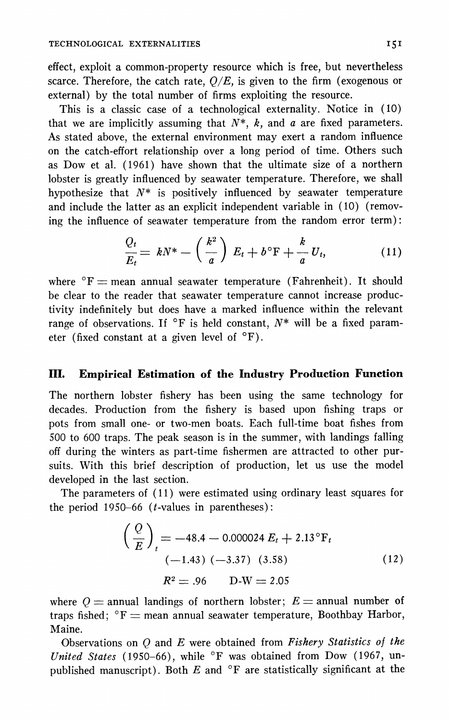**effect, exploit a common-property resource which is free, but nevertheless**  scarce. Therefore, the catch rate,  $Q/E$ , is given to the firm (exogenous or **external) by the total number of firms exploiting the resource.** 

**This is a classic case of a technological externality. Notice in (10)**  that we are implicitly assuming that  $N^*$ ,  $k$ , and  $\alpha$  are fixed parameters. **As stated above, the external environment may exert a random influence on the catch-effort relationship over a long period of time. Others such as Dow et al. (1961) have shown that the ultimate size of a northern lobster is greatly influenced by seawater temperature. Therefore, we shall hypothesize that N\* is positively influenced by seawater temperature and include the latter as an explicit independent variable in (10) (removing the influence of seawater temperature from the random error term):** 

$$
\frac{Q_t}{E_t} = kN^* - \left(\frac{k^2}{a}\right) E_t + b^{\circ} F + \frac{k}{a} U_t, \qquad (11)
$$

where  ${}^{\circ}$ F  $=$  mean annual seawater temperature (Fahrenheit). It should **be clear to the reader that seawater temperature cannot increase productivity indefinitely but does have a marked influence within the relevant**  range of observations. If  $\circ$ F is held constant,  $N^*$  will be a fixed parameter (fixed constant at a given level of  ${}^{\circ}$ F).

#### **III. Empirical Estimation of the Industry Production Function**

**The northern lobster fishery has been using the same technology for decades. Production from the fishery is based upon fishing traps or pots from small one- or two-men boats. Each full-time boat fishes from 500 to 600 traps. The peak season is in the summer, with landings falling off during the winters as part-time fishermen are attracted to other pursuits. With this brief description of production, let us use the model developed in the last section.** 

**The parameters of (11) were estimated using ordinary least squares for the period 1950-66 (t-values in parentheses):** 

$$
\left(\frac{Q}{E}\right)_t = -48.4 - 0.000024 E_t + 2.13^\circ F_t
$$
  
\n
$$
(-1.43) (-3.37) (3.58)
$$
  
\n
$$
R^2 = .96 \qquad D-W = 2.05
$$
 (12)

where  $Q =$  **annual landings of northern lobster;**  $E =$  **<b>annual number of** traps fished; °F = mean annual seawater temperature, Boothbay Harbor, **Maine.** 

**Observations on Q and E were obtained from Fishery Statistics of the**  United States (1950-66), while <sup>o</sup>F was obtained from Dow (1967, unpublished manuscript). Both  $E$  and  $\circ$ F are statistically significant at the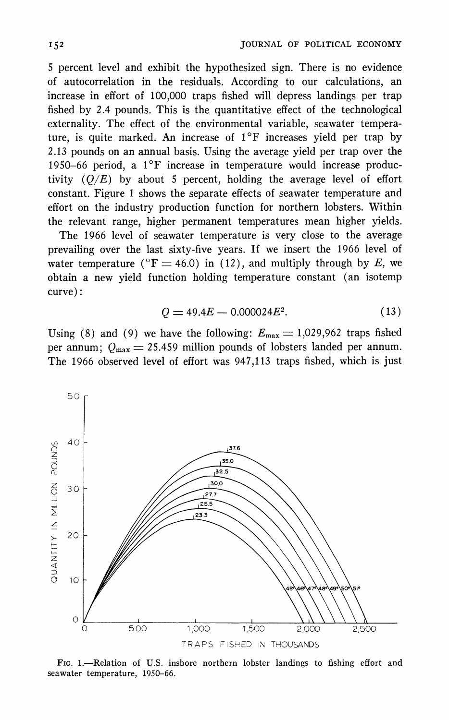**5 percent level and exhibit the hypothesized sign. There is no evidence of autocorrelation in the residuals. According to our calculations, an increase in effort of 100,000 traps fished will depress landings per trap fished by 2.4 pounds. This is the quantitative effect of the technological externality. The effect of the environmental variable, seawater temperature, is quite marked. An increase of 1?F increases yield per trap by 2.13 pounds on an annual basis. Using the average yield per trap over the 1950-66 period, a 1?F increase in temperature would increase produc**tivity  $(Q/E)$  by about 5 percent, holding the average level of effort **constant. Figure 1 shows the separate effects of seawater temperature and effort on the industry production function for northern lobsters. Within the relevant range, higher permanent temperatures mean higher yields.** 

**The 1966 level of seawater temperature is very close to the average prevailing over the last sixty-five years. If we insert the 1966 level of**  water temperature ( ${}^{\circ}$ F = 46.0) in (12), and multiply through by E, we **obtain a new yield function holding temperature constant (an isotemp curve):** 

$$
Q = 49.4E - 0.000024E^2.
$$
 (13)

Using (8) and (9) we have the following:  $E_{\text{max}} = 1,029,962$  traps fished per annum;  $Q_{\text{max}} = 25.459$  million pounds of lobsters landed per annum. **The 1966 observed level of effort was 947,113 traps fished, which is just** 



**FIG. 1.-Relation of U.S. inshore northern lobster landings to fishing effort and seawater temperature, 1950-66.**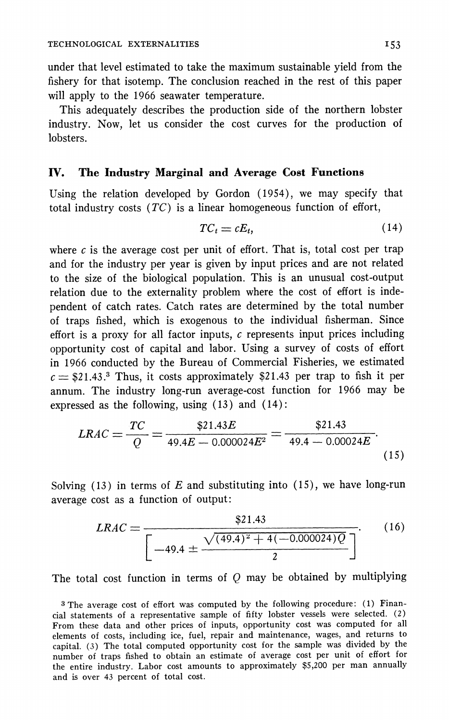**under that level estimated to take the maximum sustainable yield from the fishery for that isotemp. The conclusion reached in the rest of this paper will apply to the 1966 seawater temperature.** 

**This adequately describes the production side of the northern lobster industry. Now, let us consider the cost curves for the production of lobsters.** 

#### **IV. The Industry Marginal and Average Cost Functions**

**Using the relation developed by Gordon (1954), we may specify that total industry costs (TC) is a linear homogeneous function of effort,** 

$$
TC_t = cE_t, \t\t(14)
$$

where  $c$  is the average cost per unit of effort. That is, total cost per trap **and for the industry per year is given by input prices and are not related to the size of the biological population. This is an unusual cost-output relation due to the externality problem where the cost of effort is independent of catch rates. Catch rates are determined by the total number of traps fished, which is exogenous to the individual fisherman. Since effort is a proxy for all factor inputs, c represents input prices including opportunity cost of capital and labor. Using a survey of costs of effort in 1966 conducted by the Bureau of Commercial Fisheries, we estimated**   $c = $21.43$ <sup>3</sup> Thus, it costs approximately \$21.43 per trap to fish it per **annum. The industry long-run average-cost function for 1966 may be expressed as the following, using (13) and (14):** 

$$
LRAC = \frac{TC}{Q} = \frac{\$21.43E}{49.4E - 0.000024E^2} = \frac{\$21.43}{49.4 - 0.00024E}.
$$
\n(15)

**Solving (13) in terms of E and substituting into (15), we have long-run average cost as a function of output:** 

$$
LRAC = \frac{$21.43}{\left[-49.4 \pm \frac{\sqrt{(49.4)^2 + 4(-0.000024)\overline{Q}}}{2}\right]}. \tag{16}
$$

**The total cost function in terms of Q may be obtained by multiplying** 

**3 The average cost of effort was computed by the following procedure: (1) Financial statements of a representative sample of fifty lobster vessels were selected. (2) From these data and other prices of inputs, opportunity cost was computed for all elements of costs, including ice, fuel, repair and maintenance, wages, and returns to capital. (3) The total computed opportunity cost for the sample was divided by the number of traps fished to obtain an estimate of average cost per unit of effort for the entire industry. Labor cost amounts to approximately \$5,200 per man annually and is over 43 percent of total cost.**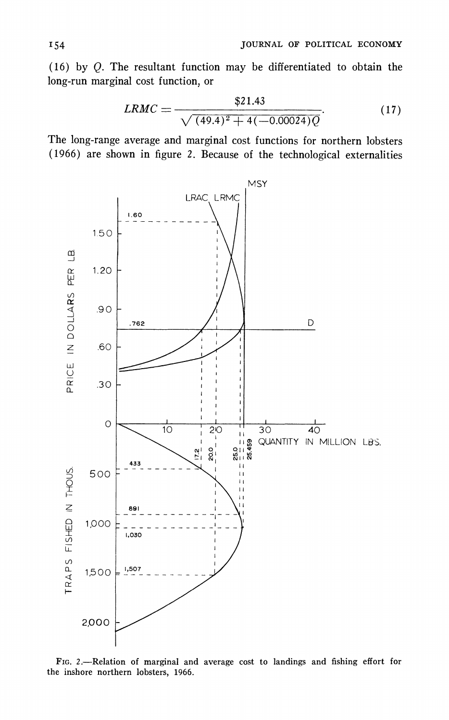**(16) by Q. The resultant function may be differentiated to obtain the long-run marginal cost function, or** 

$$
LRMC = \frac{\$21.43}{\sqrt{(49.4)^2 + 4(-0.00024)Q}}.\tag{17}
$$

**The long-range average and marginal cost functions for northern lobsters (1966) are shown in figure 2. Because of the technological externalities** 



**FIG. 2.-Relation of marginal and average cost to landings and fishing effort for the inshore northern lobsters, 1966.**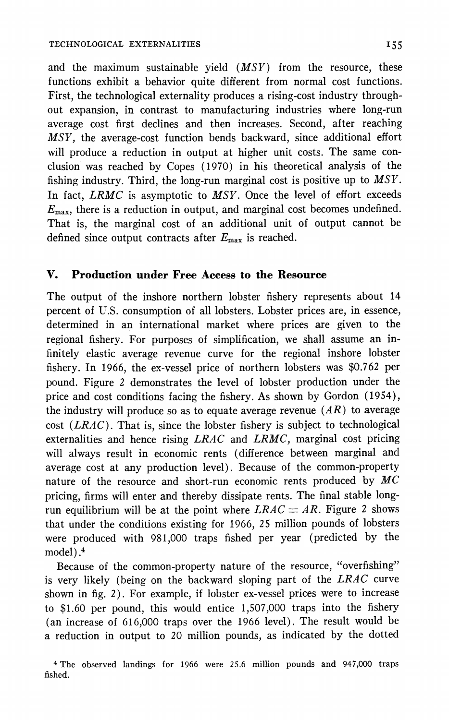**and the maximum sustainable yield (MSY) from the resource, these functions exhibit a behavior quite different from normal cost functions. First, the technological externality produces a rising-cost industry throughout expansion, in contrast to manufacturing industries where long-run average cost first declines and then increases. Second, after reaching MSY, the average-cost function bends backward, since additional effort will produce a reduction in output at higher unit costs. The same conclusion was reached by Copes (1970) in his theoretical analysis of the fishing industry. Third, the long-run marginal cost is positive up to MSY. In fact, LRMC is asymptotic to MSY. Once the level of effort exceeds Emax, there is a reduction in output, and marginal cost becomes undefined. That is, the marginal cost of an additional unit of output cannot be defined since output contracts after Emax is reached.** 

## **V. Production under Free Access to the Resource**

**The output of the inshore northern lobster fishery represents about 14 percent of U.S. consumption of all lobsters. Lobster prices are, in essence, determined in an international market where prices are given to the regional fishery. For purposes of simplification, we shall assume an infinitely elastic average revenue curve for the regional inshore lobster fishery. In 1966, the ex-vessel price of northern lobsters was \$0.762 per pound. Figure 2 demonstrates the level of lobster production under the price and cost conditions facing the fishery. As shown by Gordon (1954),**  the industry will produce so as to equate average revenue  $(AR)$  to average **cost (LRAC). That is, since the lobster fishery is subject to technological externalities and hence rising LRAC and LRMC, marginal cost pricing will always result in economic rents (difference between marginal and average cost at any production level). Because of the common-property nature of the resource and short-run economic rents produced by MC pricing, firms will enter and thereby dissipate rents. The final stable long**run equilibrium will be at the point where  $LRAC = AR$ . Figure 2 shows **that under the conditions existing for 1966, 25 million pounds of lobsters were produced with 981,000 traps fished per year (predicted by the model) .4** 

**Because of the common-property nature of the resource, "overfishing" is very likely (being on the backward sloping part of the LRAC curve shown in fig. 2). For example, if lobster ex-vessel prices were to increase to \$1.60 per pound, this would entice 1,507,000 traps into the fishery (an increase of 616,000 traps over the 1966 level). The result would be a reduction in output to 20 million pounds, as indicated by the dotted** 

**<sup>4</sup> The observed landings for 1966 were 25.6 million pounds and 947,000 traps fished.**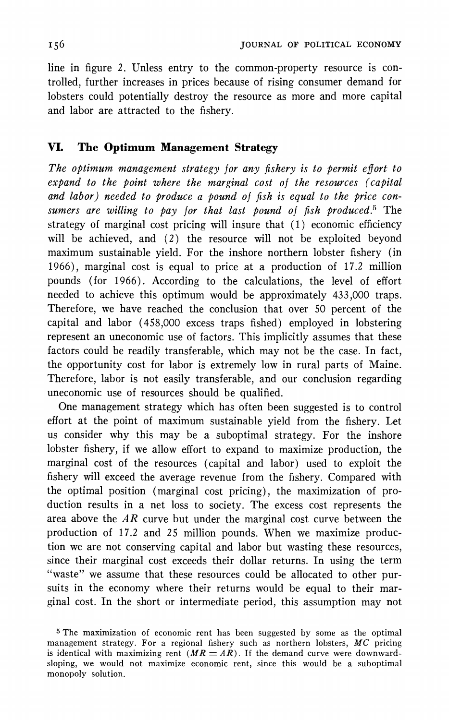**line in figure 2. Unless entry to the common-property resource is controlled, further increases in prices because of rising consumer demand for lobsters could potentially destroy the resource as more and more capital and labor are attracted to the fishery.** 

## **VI. The Optimum Management Strategy**

**The optimum management strategy for any fishery is to permit effort to expand to the point where the marginal cost of the resources (capital and labor) needed to produce a pound of fish is equal to the price con**sumers are willing to pay for that last pound of fish produced.<sup>5</sup> The **strategy of marginal cost pricing will insure that (1) economic efficiency will be achieved, and (2) the resource will not be exploited beyond maximum sustainable yield. For the inshore northern lobster fishery (in 1966), marginal cost is equal to price at a production of 17.2 million pounds (for 1966). According to the calculations, the level of effort needed to achieve this optimum would be approximately 433,000 traps. Therefore, we have reached the conclusion that over 50 percent of the capital and labor (458,000 excess traps fished) employed in lobstering represent an uneconomic use of factors. This implicitly assumes that these factors could be readily transferable, which may not be the case. In fact, the opportunity cost for labor is extremely low in rural parts of Maine. Therefore, labor is not easily transferable, and our conclusion regarding uneconomic use of resources should be qualified.** 

**One management strategy which has often been suggested is to control effort at the point of maximum sustainable yield from the fishery. Let us consider why this may be a suboptimal strategy. For the inshore lobster fishery, if we allow effort to expand to maximize production, the marginal cost of the resources (capital and labor) used to exploit the fishery will exceed the average revenue from the fishery. Compared with the optimal position (marginal cost pricing), the maximization of production results in a net loss to society. The excess cost represents the area above the AR curve but under the marginal cost curve between the production of 17.2 and 25 million pounds. When we maximize production we are not conserving capital and labor but wasting these resources, since their marginal cost exceeds their dollar returns. In using the term "waste" we assume that these resources could be allocated to other pursuits in the economy where their returns would be equal to their marginal cost. In the short or intermediate period, this assumption may not** 

**<sup>5</sup> The maximization of economic rent has been suggested by some as the optimal management strategy. For a regional fishery such as northern lobsters, MC pricing**  is identical with maximizing rent  $(MR = AR)$ . If the demand curve were downward**sloping, we would not maximize economic rent, since this would be a suboptimal monopoly solution.**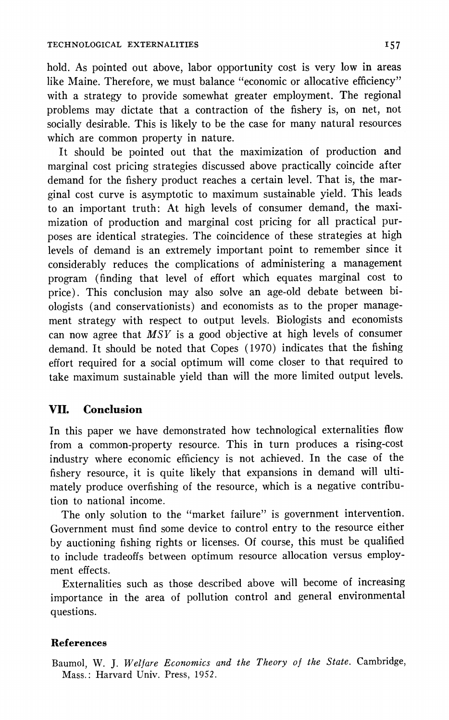**hold. As pointed out above, labor opportunity cost is very low in areas like Maine. Therefore, we must balance "economic or allocative efficiency" with a strategy to provide somewhat greater employment. The regional problems may dictate that a contraction of the fishery is, on net, not socially desirable. This is likely to be the case for many natural resources which are common property in nature.** 

**It should be pointed out that the maximization of production and marginal cost pricing strategies discussed above practically coincide after demand for the fishery product reaches a certain level. That is, the marginal cost curve is asymptotic to maximum sustainable yield. This leads to an important truth: At high levels of consumer demand, the maximization of production and marginal cost pricing for all practical purposes are identical strategies. The coincidence of these strategies at high levels of demand is an extremely important point to remember since it considerably reduces the complications of administering a management program (finding that level of effort which equates marginal cost to price). This conclusion may also solve an age-old debate between biologists (and conservationists) and economists as to the proper management strategy with respect to output levels. Biologists and economists can now agree that MSY is a good objective at high levels of consumer demand. It should be noted that Copes (1970) indicates that the fishing effort required for a social optimum will come closer to that required to take maximum sustainable yield than will the more limited output levels.** 

### **VII. Conclusion**

**In this paper we have demonstrated how technological externalities flow from a common-property resource. This in turn produces a rising-cost industry where economic efficiency is not achieved. In the case of the fishery resource, it is quite likely that expansions in demand will ultimately produce overfishing of the resource, which is a negative contribution to national income.** 

**The only solution to the "market failure" is government intervention. Government must find some device to control entry to the resource either by auctioning fishing rights or licenses. Of course, this must be qualified to include tradeoffs between optimum resource allocation versus employment effects.** 

**Externalities such as those described above will become of increasing importance in the area of pollution control and general environmental questions.** 

#### **References**

**Baumol, W. J. Welfare Economics and the Theory of the State. Cambridge, Mass.: Harvard Univ. Press, 1952.**